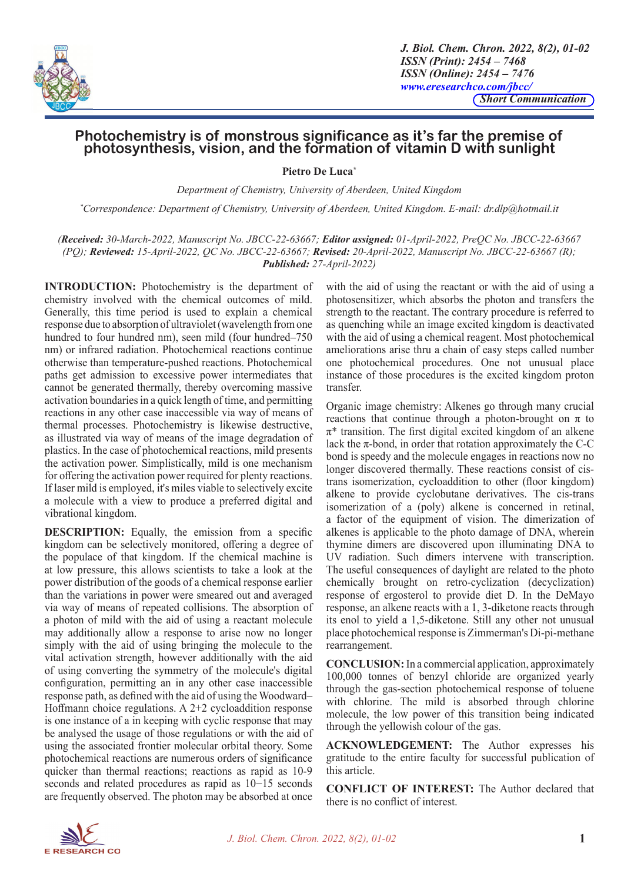

*J. Biol. Chem. Chron. 2022, 8(2), 01-02 ISSN (Print): 2454 – 7468 ISSN (Online): 2454 – 7476 www.eresearchco.com/jbcc/ Short Communication*

## **Photochemistry is of monstrous significance as it's far the premise of photosynthesis, vision, and the formation of vitamin D with sunlight**

**Pietro De Luca\***

*Department of Chemistry, University of Aberdeen, United Kingdom*

*\* Correspondence: Department of Chemistry, University of Aberdeen, United Kingdom. E-mail: dr.dlp@hotmail.it* 

*(Received: 30-March-2022, Manuscript No. JBCC-22-63667; Editor assigned: 01-April-2022, PreQC No. JBCC-22-63667 (PQ); Reviewed: 15-April-2022, QC No. JBCC-22-63667; Revised: 20-April-2022, Manuscript No. JBCC-22-63667 (R); Published: 27-April-2022)*

**INTRODUCTION:** Photochemistry is the department of chemistry involved with the chemical outcomes of mild. Generally, this time period is used to explain a chemical response due to absorption of ultraviolet (wavelength from one hundred to four hundred nm), seen mild (four hundred–750 nm) or infrared radiation. Photochemical reactions continue otherwise than temperature-pushed reactions. Photochemical paths get admission to excessive power intermediates that cannot be generated thermally, thereby overcoming massive activation boundaries in a quick length of time, and permitting reactions in any other case inaccessible via way of means of thermal processes. Photochemistry is likewise destructive, as illustrated via way of means of the image degradation of plastics. In the case of photochemical reactions, mild presents the activation power. Simplistically, mild is one mechanism for offering the activation power required for plenty reactions. If laser mild is employed, it's miles viable to selectively excite a molecule with a view to produce a preferred digital and vibrational kingdom.

**DESCRIPTION:** Equally, the emission from a specific kingdom can be selectively monitored, offering a degree of the populace of that kingdom. If the chemical machine is at low pressure, this allows scientists to take a look at the power distribution of the goods of a chemical response earlier than the variations in power were smeared out and averaged via way of means of repeated collisions. The absorption of a photon of mild with the aid of using a reactant molecule may additionally allow a response to arise now no longer simply with the aid of using bringing the molecule to the vital activation strength, however additionally with the aid of using converting the symmetry of the molecule's digital configuration, permitting an in any other case inaccessible response path, as defined with the aid of using the Woodward– Hoffmann choice regulations. A 2+2 cycloaddition response is one instance of a in keeping with cyclic response that may be analysed the usage of those regulations or with the aid of using the associated frontier molecular orbital theory. Some photochemical reactions are numerous orders of significance quicker than thermal reactions; reactions as rapid as 10-9 seconds and related procedures as rapid as 10−15 seconds are frequently observed. The photon may be absorbed at once with the aid of using the reactant or with the aid of using a photosensitizer, which absorbs the photon and transfers the strength to the reactant. The contrary procedure is referred to as quenching while an image excited kingdom is deactivated with the aid of using a chemical reagent. Most photochemical ameliorations arise thru a chain of easy steps called number one photochemical procedures. One not unusual place instance of those procedures is the excited kingdom proton transfer.

Organic image chemistry: Alkenes go through many crucial reactions that continue through a photon-brought on  $\pi$  to  $\pi^*$  transition. The first digital excited kingdom of an alkene lack the  $\pi$ -bond, in order that rotation approximately the C-C bond is speedy and the molecule engages in reactions now no longer discovered thermally. These reactions consist of cistrans isomerization, cycloaddition to other (floor kingdom) alkene to provide cyclobutane derivatives. The cis-trans isomerization of a (poly) alkene is concerned in retinal, a factor of the equipment of vision. The dimerization of alkenes is applicable to the photo damage of DNA, wherein thymine dimers are discovered upon illuminating DNA to UV radiation. Such dimers intervene with transcription. The useful consequences of daylight are related to the photo chemically brought on retro-cyclization (decyclization) response of ergosterol to provide diet D. In the DeMayo response, an alkene reacts with a 1, 3-diketone reacts through its enol to yield a 1,5-diketone. Still any other not unusual place photochemical response is Zimmerman's Di-pi-methane rearrangement.

**CONCLUSION:** In a commercial application, approximately 100,000 tonnes of benzyl chloride are organized yearly through the gas-section photochemical response of toluene with chlorine. The mild is absorbed through chlorine molecule, the low power of this transition being indicated through the yellowish colour of the gas.

**ACKNOWLEDGEMENT:** The Author expresses his gratitude to the entire faculty for successful publication of this article.

**CONFLICT OF INTEREST:** The Author declared that there is no conflict of interest.